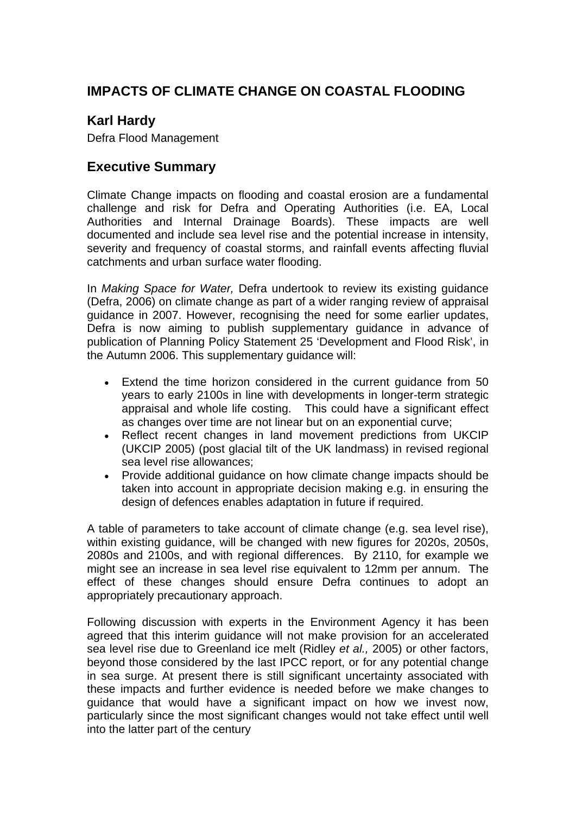## **IMPACTS OF CLIMATE CHANGE ON COASTAL FLOODING**

## **Karl Hardy**

Defra Flood Management

#### **Executive Summary**

Climate Change impacts on flooding and coastal erosion are a fundamental challenge and risk for Defra and Operating Authorities (i.e. EA, Local Authorities and Internal Drainage Boards). These impacts are well documented and include sea level rise and the potential increase in intensity, severity and frequency of coastal storms, and rainfall events affecting fluvial catchments and urban surface water flooding.

In *Making Space for Water,* Defra undertook to review its existing guidance (Defra, 2006) on climate change as part of a wider ranging review of appraisal guidance in 2007. However, recognising the need for some earlier updates, Defra is now aiming to publish supplementary guidance in advance of publication of Planning Policy Statement 25 'Development and Flood Risk', in the Autumn 2006. This supplementary guidance will:

- Extend the time horizon considered in the current guidance from 50 years to early 2100s in line with developments in longer-term strategic appraisal and whole life costing. This could have a significant effect as changes over time are not linear but on an exponential curve;
- Reflect recent changes in land movement predictions from UKCIP (UKCIP 2005) (post glacial tilt of the UK landmass) in revised regional sea level rise allowances;
- Provide additional guidance on how climate change impacts should be taken into account in appropriate decision making e.g. in ensuring the design of defences enables adaptation in future if required.

A table of parameters to take account of climate change (e.g. sea level rise), within existing guidance, will be changed with new figures for 2020s, 2050s, 2080s and 2100s, and with regional differences. By 2110, for example we might see an increase in sea level rise equivalent to 12mm per annum. The effect of these changes should ensure Defra continues to adopt an appropriately precautionary approach.

Following discussion with experts in the Environment Agency it has been agreed that this interim guidance will not make provision for an accelerated sea level rise due to Greenland ice melt (Ridley *et al.,* 2005) or other factors, beyond those considered by the last IPCC report, or for any potential change in sea surge. At present there is still significant uncertainty associated with these impacts and further evidence is needed before we make changes to guidance that would have a significant impact on how we invest now, particularly since the most significant changes would not take effect until well into the latter part of the century